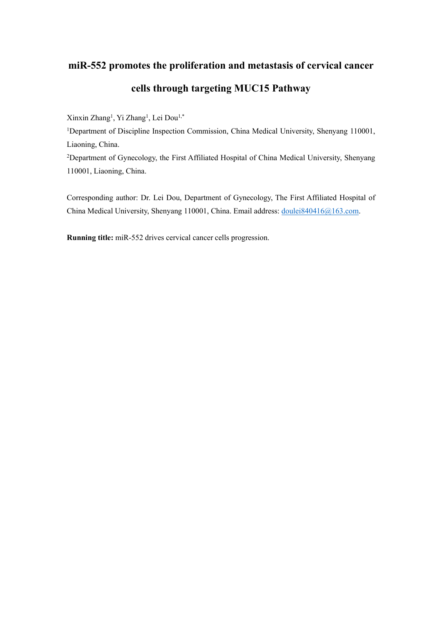# **miR-552 promotes the proliferation and metastasis of cervical cancer cells through targeting MUC15 Pathway**

Xinxin Zhang<sup>1</sup>, Yi Zhang<sup>1</sup>, Lei Dou<sup>1,\*</sup>

<sup>1</sup>Department of Discipline Inspection Commission, China Medical University, Shenyang 110001, Liaoning, China.

<sup>2</sup>Department of Gynecology, the First Affiliated Hospital of China Medical University, Shenyang 110001, Liaoning, China.

Corresponding author: Dr. Lei Dou, Department of Gynecology, The First Affiliated Hospital of China Medical University, Shenyang 110001, China. Email address: [doulei840416@163.com.](mailto:doulei840416@163.com)

**Running title:** miR-552 drives cervical cancer cells progression.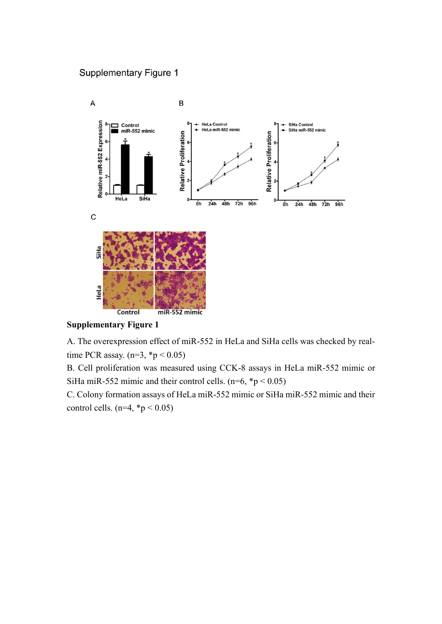### **Supplementary Figure 1**



**Supplementary Figure 1**

A. The overexpression effect of miR-552 in HeLa and SiHa cells was checked by realtime PCR assay.  $(n=3, *p < 0.05)$ 

B. Cell proliferation was measured using CCK-8 assays in HeLa miR-552 mimic or SiHa miR-552 mimic and their control cells.  $(n=6, *p < 0.05)$ 

C. Colony formation assays of HeLa miR-552 mimic or SiHa miR-552 mimic and their control cells.  $(n=4, *p < 0.05)$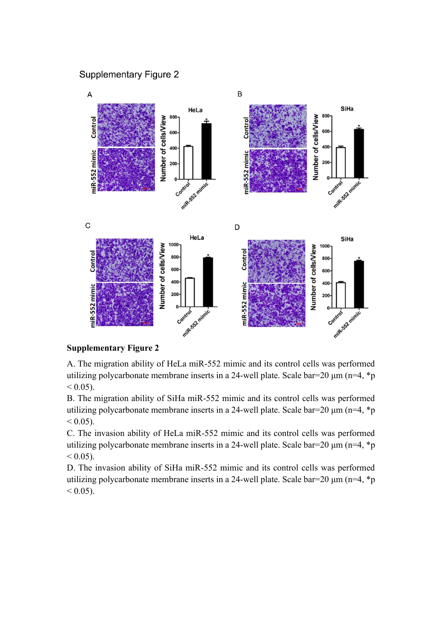### **Supplementary Figure 2**



#### **Supplementary Figure 2**

A. The migration ability of HeLa miR-552 mimic and its control cells was performed utilizing polycarbonate membrane inserts in a 24-well plate. Scale bar=20 μm (n=4, \*p  $< 0.05$ ).

B. The migration ability of SiHa miR-552 mimic and its control cells was performed utilizing polycarbonate membrane inserts in a 24-well plate. Scale bar=20  $\mu$ m (n=4, \*p  $< 0.05$ ).

C. The invasion ability of HeLa miR-552 mimic and its control cells was performed utilizing polycarbonate membrane inserts in a 24-well plate. Scale bar=20  $\mu$ m (n=4, \*p  $< 0.05$ ).

D. The invasion ability of SiHa miR-552 mimic and its control cells was performed utilizing polycarbonate membrane inserts in a 24-well plate. Scale bar=20  $\mu$ m (n=4, \*p  $< 0.05$ ).